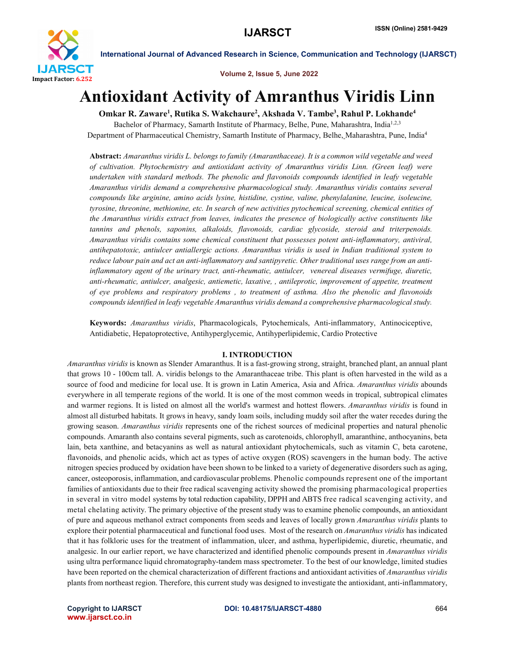

Volume 2, Issue 5, June 2022

# Antioxidant Activity of Amranthus Viridis Linn

Omkar R. Zaware<sup>1</sup>, Rutika S. Wakchaure<sup>2</sup>, Akshada V. Tambe<sup>3</sup>, Rahul P. Lokhande<sup>4</sup>

Bachelor of Pharmacy, Samarth Institute of Pharmacy, Belhe, Pune, Maharashtra, India<sup>1,2,3</sup> Department of Pharmaceutical Chemistry, Samarth Institute of Pharmacy, Belhe, Maharashtra, Pune, India<sup>4</sup>

Abstract: *Amaranthus viridis L. belongs to family (Amaranthaceae). It is a common wild vegetable and weed of cultivation. Phytochemistry and antioxidant activity of Amaranthus viridis Linn. (Green leaf) were undertaken with standard methods. The phenolic and flavonoids compounds identified in leafy vegetable Amaranthus viridis demand a comprehensive pharmacological study. Amaranthus viridis contains several compounds like arginine, amino acids lysine, histidine, cystine, valine, phenylalanine, leucine, isoleucine, tyrosine, threonine, methionine, etc. In search of new activities pytochemical screening, chemical entities of the Amaranthus viridis extract from leaves, indicates the presence of biologically active constituents like tannins and phenols, saponins, alkaloids, flavonoids, cardiac glycoside, steroid and triterpenoids. Amaranthus viridis contains some chemical constituent that possesses potent anti-inflammatory, antiviral, antihepatotoxic, antiulcer antiallergic actions. Amaranthus viridis is used in Indian traditional system to reduce labour pain and act an anti-inflammatory and santipyretic. Other traditional uses range from an antiinflammatory agent of the urinary tract, anti-rheumatic, antiulcer, venereal diseases vermifuge, diuretic, anti-rheumatic, antiulcer, analgesic, antiemetic, laxative, , antileprotic, improvement of appetite, treatment of eye problems and respiratory problems , to treatment of asthma. Also the phenolic and flavonoids compounds identified in leafy vegetable Amaranthus viridis demand a comprehensive pharmacological study.*

Keywords: *Amaranthus viridis*, Pharmacologicals, Pytochemicals, Anti-inflammatory, Antinociceptive, Antidiabetic, Hepatoprotective, Antihyperglycemic, Antihyperlipidemic, Cardio Protective

### I. INTRODUCTION

*Amaranthus viridis* is known as Slender Amaranthus. It is a fast-growing strong, straight, branched plant, an annual plant that grows 10 - 100cm tall. A. viridis belongs to the Amaranthaceae tribe. This plant is often harvested in the wild as a source of food and medicine for local use. It is grown in Latin America, Asia and Africa. *Amaranthus viridis* abounds everywhere in all temperate regions of the world. It is one of the most common weeds in tropical, subtropical climates and warmer regions. It is listed on almost all the world's warmest and hottest flowers. *Amaranthus viridis* is found in almost all disturbed habitats. It grows in heavy, sandy loam soils, including muddy soil after the water recedes during the growing season. *Amaranthus viridis* represents one of the richest sources of medicinal properties and natural phenolic compounds. Amaranth also contains several pigments, such as carotenoids, chlorophyll, amaranthine, anthocyanins, beta lain, beta xanthine, and betacyanins as well as natural antioxidant phytochemicals, such as vitamin C, beta carotene, flavonoids, and phenolic acids, which act as types of active oxygen (ROS) scavengers in the human body. The active nitrogen species produced by oxidation have been shown to be linked to a variety of degenerative disorders such as aging, cancer, osteoporosis, inflammation, and cardiovascular problems. Phenolic compounds represent one of the important families of antioxidants due to their free radical scavenging activity showed the promising pharmacological properties in several in vitro model systems by total reduction capability, DPPH and ABTS free radical scavenging activity, and metal chelating activity. The primary objective of the present study was to examine phenolic compounds, an antioxidant of pure and aqueous methanol extract components from seeds and leaves of locally grown *Amaranthus viridis* plants to explore their potential pharmaceutical and functional food uses. Most of the research on *Amaranthus viridis* has indicated that it has folkloric uses for the treatment of inflammation, ulcer, and asthma, hyperlipidemic, diuretic, rheumatic, and analgesic. In our earlier report, we have characterized and identified phenolic compounds present in *Amaranthus viridis* using ultra performance liquid chromatography-tandem mass spectrometer. To the best of our knowledge, limited studies have been reported on the chemical characterization of different fractions and antioxidant activities of *Amaranthus viridis* plants from northeast region. Therefore, this current study was designed to investigate the antioxidant, anti-inflammatory,

www.ijarsct.co.in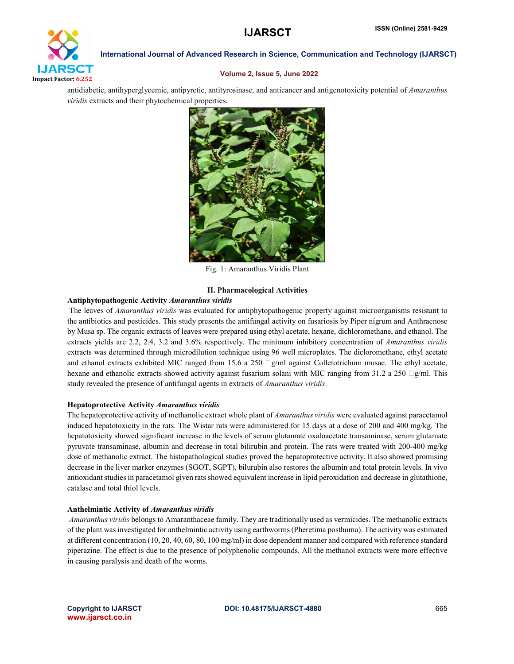

#### Volume 2, Issue 5, June 2022

antidiabetic, antihyperglycemic, antipyretic, antityrosinase, and anticancer and antigenotoxicity potential of *Amaranthus viridis* extracts and their phytochemical properties.



Fig. 1: Amaranthus Viridis Plant

## II. Pharmacological Activities

#### Antiphytopathogenic Activity *Amaranthus viridis*

The leaves of *Amaranthus viridis* was evaluated for antiphytopathogenic property against microorganisms resistant to the antibiotics and pesticides. This study presents the antifungal activity on fusariosis by Piper nigrum and Anthracnose by Musa sp. The organic extracts of leaves were prepared using ethyl acetate, hexane, dichloromethane, and ethanol. The extracts yields are 2.2, 2.4, 3.2 and 3.6% respectively. The minimum inhibitory concentration of *Amaranthus viridis* extracts was determined through microdilution technique using 96 well microplates. The dicloromethane, ethyl acetate and ethanol extracts exhibited MIC ranged from 15.6 a 250  $\Box$ g/ml against Colletotrichum musae. The ethyl acetate, hexane and ethanolic extracts showed activity against fusarium solani with MIC ranging from 31.2 a 250  $\Box$  g/ml. This study revealed the presence of antifungal agents in extracts of *Amaranthus viridis*.

#### Hepatoprotective Activity *Amaranthus viridis*

The hepatoprotective activity of methanolic extract whole plant of *Amaranthus viridis* were evaluated against paracetamol induced hepatotoxicity in the rats. The Wistar rats were administered for 15 days at a dose of 200 and 400 mg/kg. The hepatotoxicity showed significant increase in the levels of serum glutamate oxaloacetate transaminase, serum glutamate pyruvate transaminase, albumin and decrease in total bilirubin and protein. The rats were treated with 200-400 mg/kg dose of methanolic extract. The histopathological studies proved the hepatoprotective activity. It also showed promising decrease in the liver marker enzymes (SGOT, SGPT), bilurubin also restores the albumin and total protein levels. In vivo antioxidant studies in paracetamol given rats showed equivalent increase in lipid peroxidation and decrease in glutathione, catalase and total thiol levels.

#### Anthelmintic Activity of *Amaranthus viridis*

*Amaranthus viridis* belongs to Amaranthaceae family. They are traditionally used as vermicides. The methanolic extracts of the plant was investigated for anthelmintic activity using earthworms (Pheretima posthuma). The activity was estimated at different concentration (10, 20, 40, 60, 80, 100 mg/ml) in dose dependent manner and compared with reference standard piperazine. The effect is due to the presence of polyphenolic compounds. All the methanol extracts were more effective in causing paralysis and death of the worms.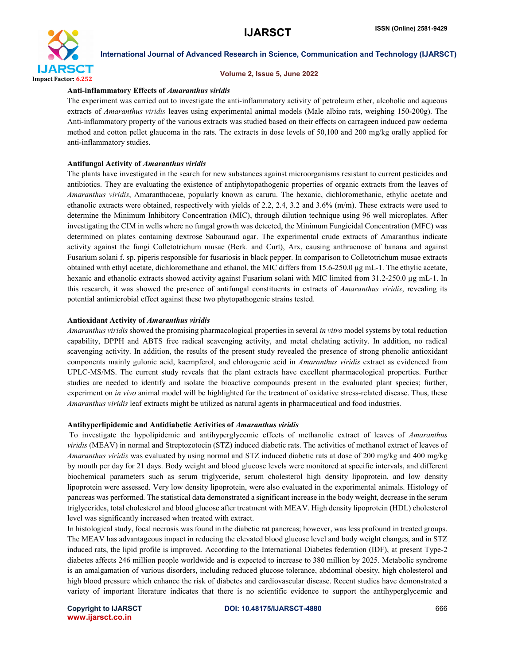

#### Volume 2, Issue 5, June 2022

#### Anti-inflammatory Effects of *Amaranthus viridis*

The experiment was carried out to investigate the anti-inflammatory activity of petroleum ether, alcoholic and aqueous extracts of *Amaranthus viridis* leaves using experimental animal models (Male albino rats, weighing 150-200g). The Anti-inflammatory property of the various extracts was studied based on their effects on carrageen induced paw oedema method and cotton pellet glaucoma in the rats. The extracts in dose levels of 50,100 and 200 mg/kg orally applied for anti-inflammatory studies.

#### Antifungal Activity of *Amaranthus viridis*

The plants have investigated in the search for new substances against microorganisms resistant to current pesticides and antibiotics. They are evaluating the existence of antiphytopathogenic properties of organic extracts from the leaves of *Amaranthus viridis*, Amaranthaceae, popularly known as caruru. The hexanic, dichloromethanic, ethylic acetate and ethanolic extracts were obtained, respectively with yields of 2.2, 2.4, 3.2 and 3.6% (m/m). These extracts were used to determine the Minimum Inhibitory Concentration (MIC), through dilution technique using 96 well microplates. After investigating the CIM in wells where no fungal growth was detected, the Minimum Fungicidal Concentration (MFC) was determined on plates containing dextrose Sabouraud agar. The experimental crude extracts of Amaranthus indicate activity against the fungi Colletotrichum musae (Berk. and Curt), Arx, causing anthracnose of banana and against Fusarium solani f. sp. piperis responsible for fusariosis in black pepper. In comparison to Colletotrichum musae extracts obtained with ethyl acetate, dichloromethane and ethanol, the MIC differs from 15.6-250.0 µg mL-1. The ethylic acetate, hexanic and ethanolic extracts showed activity against Fusarium solani with MIC limited from 31.2-250.0 µg mL-1. In this research, it was showed the presence of antifungal constituents in extracts of *Amaranthus viridis*, revealing its potential antimicrobial effect against these two phytopathogenic strains tested.

#### Antioxidant Activity of *Amaranthus viridis*

*Amaranthus viridis* showed the promising pharmacological properties in several *in vitro* model systems by total reduction capability, DPPH and ABTS free radical scavenging activity, and metal chelating activity. In addition, no radical scavenging activity. In addition, the results of the present study revealed the presence of strong phenolic antioxidant components mainly gulonic acid, kaempferol, and chlorogenic acid in *Amaranthus viridis* extract as evidenced from UPLC-MS/MS. The current study reveals that the plant extracts have excellent pharmacological properties. Further studies are needed to identify and isolate the bioactive compounds present in the evaluated plant species; further, experiment on *in vivo* animal model will be highlighted for the treatment of oxidative stress-related disease. Thus, these *Amaranthus viridis* leaf extracts might be utilized as natural agents in pharmaceutical and food industries.

#### Antihyperlipidemic and Antidiabetic Activities of *Amaranthus viridis*

To investigate the hypolipidemic and antihyperglycemic effects of methanolic extract of leaves of *Amaranthus viridis* (MEAV) in normal and Streptozotocin (STZ) induced diabetic rats. The activities of methanol extract of leaves of *Amaranthus viridis* was evaluated by using normal and STZ induced diabetic rats at dose of 200 mg/kg and 400 mg/kg by mouth per day for 21 days. Body weight and blood glucose levels were monitored at specific intervals, and different biochemical parameters such as serum triglyceride, serum cholesterol high density lipoprotein, and low density lipoprotein were assessed. Very low density lipoprotein, were also evaluated in the experimental animals. Histology of pancreas was performed. The statistical data demonstrated a significant increase in the body weight, decrease in the serum triglycerides, total cholesterol and blood glucose after treatment with MEAV. High density lipoprotein (HDL) cholesterol level was significantly increased when treated with extract.

In histological study, focal necrosis was found in the diabetic rat pancreas; however, was less profound in treated groups. The MEAV has advantageous impact in reducing the elevated blood glucose level and body weight changes, and in STZ induced rats, the lipid profile is improved. According to the International Diabetes federation (IDF), at present Type-2 diabetes affects 246 million people worldwide and is expected to increase to 380 million by 2025. Metabolic syndrome is an amalgamation of various disorders, including reduced glucose tolerance, abdominal obesity, high cholesterol and high blood pressure which enhance the risk of diabetes and cardiovascular disease. Recent studies have demonstrated a variety of important literature indicates that there is no scientific evidence to support the antihyperglycemic and

www.ijarsct.co.in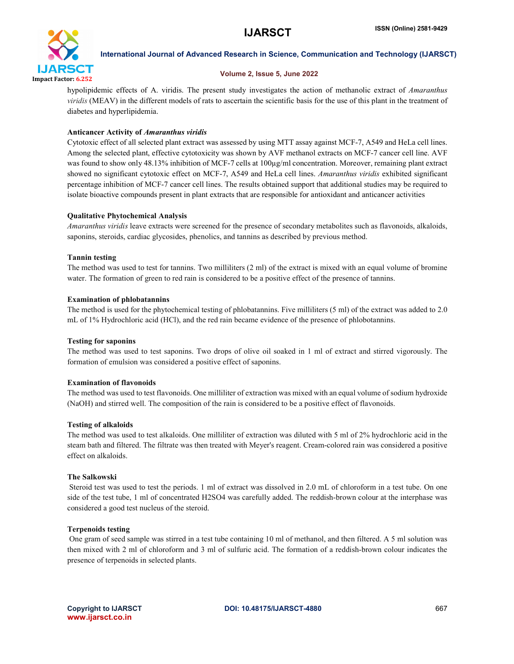

# Volume 2, Issue 5, June 2022

hypolipidemic effects of A. viridis. The present study investigates the action of methanolic extract of *Amaranthus viridis* (MEAV) in the different models of rats to ascertain the scientific basis for the use of this plant in the treatment of diabetes and hyperlipidemia.

# Anticancer Activity of *Amaranthus viridis*

Cytotoxic effect of all selected plant extract was assessed by using MTT assay against MCF-7, A549 and HeLa cell lines. Among the selected plant, effective cytotoxicity was shown by AVF methanol extracts on MCF-7 cancer cell line. AVF was found to show only 48.13% inhibition of MCF-7 cells at 100µg/ml concentration. Moreover, remaining plant extract showed no significant cytotoxic effect on MCF-7, A549 and HeLa cell lines. *Amaranthus viridis* exhibited significant percentage inhibition of MCF-7 cancer cell lines. The results obtained support that additional studies may be required to isolate bioactive compounds present in plant extracts that are responsible for antioxidant and anticancer activities

# Qualitative Phytochemical Analysis

*Amaranthus viridis* leave extracts were screened for the presence of secondary metabolites such as flavonoids, alkaloids, saponins, steroids, cardiac glycosides, phenolics, and tannins as described by previous method.

### Tannin testing

The method was used to test for tannins. Two milliliters (2 ml) of the extract is mixed with an equal volume of bromine water. The formation of green to red rain is considered to be a positive effect of the presence of tannins.

### Examination of phlobatannins

The method is used for the phytochemical testing of phlobatannins. Five milliliters (5 ml) of the extract was added to 2.0 mL of 1% Hydrochloric acid (HCl), and the red rain became evidence of the presence of phlobotannins.

### Testing for saponins

The method was used to test saponins. Two drops of olive oil soaked in 1 ml of extract and stirred vigorously. The formation of emulsion was considered a positive effect of saponins.

### Examination of flavonoids

The method was used to test flavonoids. One milliliter of extraction was mixed with an equal volume of sodium hydroxide (NaOH) and stirred well. The composition of the rain is considered to be a positive effect of flavonoids.

### Testing of alkaloids

The method was used to test alkaloids. One milliliter of extraction was diluted with 5 ml of 2% hydrochloric acid in the steam bath and filtered. The filtrate was then treated with Meyer's reagent. Cream-colored rain was considered a positive effect on alkaloids.

### The Salkowski

Steroid test was used to test the periods. 1 ml of extract was dissolved in 2.0 mL of chloroform in a test tube. On one side of the test tube, 1 ml of concentrated H2SO4 was carefully added. The reddish-brown colour at the interphase was considered a good test nucleus of the steroid.

### Terpenoids testing

One gram of seed sample was stirred in a test tube containing 10 ml of methanol, and then filtered. A 5 ml solution was then mixed with 2 ml of chloroform and 3 ml of sulfuric acid. The formation of a reddish-brown colour indicates the presence of terpenoids in selected plants.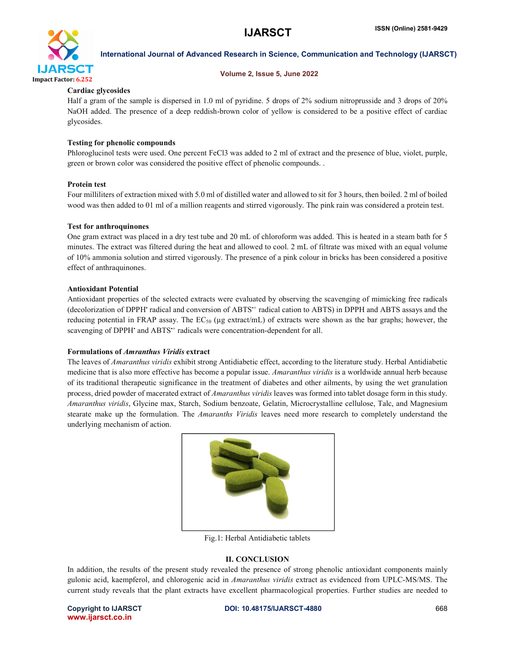

#### Volume 2, Issue 5, June 2022

# Cardiac glycosides

Half a gram of the sample is dispersed in 1.0 ml of pyridine. 5 drops of 2% sodium nitroprusside and 3 drops of 20% NaOH added. The presence of a deep reddish-brown color of yellow is considered to be a positive effect of cardiac glycosides.

# Testing for phenolic compounds

Phloroglucinol tests were used. One percent FeCl3 was added to 2 ml of extract and the presence of blue, violet, purple, green or brown color was considered the positive effect of phenolic compounds. .

# Protein test

Four milliliters of extraction mixed with 5.0 ml of distilled water and allowed to sit for 3 hours, then boiled. 2 ml of boiled wood was then added to 01 ml of a million reagents and stirred vigorously. The pink rain was considered a protein test.

### Test for anthroquinones

One gram extract was placed in a dry test tube and 20 mL of chloroform was added. This is heated in a steam bath for 5 minutes. The extract was filtered during the heat and allowed to cool. 2 mL of filtrate was mixed with an equal volume of 10% ammonia solution and stirred vigorously. The presence of a pink colour in bricks has been considered a positive effect of anthraquinones.

#### Antioxidant Potential

Antioxidant properties of the selected extracts were evaluated by observing the scavenging of mimicking free radicals (decolorization of DPPH<sup>•</sup> radical and conversion of ABTS<sup>++</sup> radical cation to ABTS) in DPPH and ABTS assays and the reducing potential in FRAP assay. The  $EC_{50}$  (µg extract/mL) of extracts were shown as the bar graphs; however, the scavenging of DPPH<sup>•</sup> and ABTS<sup>++</sup> radicals were concentration-dependent for all.

### Formulations of *Amranthus Viridis* extract

The leaves of *Amaranthus viridis* exhibit strong Antidiabetic effect, according to the literature study. Herbal Antidiabetic medicine that is also more effective has become a popular issue. *Amaranthus viridis* is a worldwide annual herb because of its traditional therapeutic significance in the treatment of diabetes and other ailments, by using the wet granulation process, dried powder of macerated extract of *Amaranthus viridis* leaves was formed into tablet dosage form in this study. *Amaranthus viridis*, Glycine max, Starch, Sodium benzoate, Gelatin, Microcrystalline cellulose, Talc, and Magnesium stearate make up the formulation. The *Amaranths Viridis* leaves need more research to completely understand the underlying mechanism of action.



Fig.1: Herbal Antidiabetic tablets

# II. CONCLUSION

In addition, the results of the present study revealed the presence of strong phenolic antioxidant components mainly gulonic acid, kaempferol, and chlorogenic acid in *Amaranthus viridis* extract as evidenced from UPLC-MS/MS. The current study reveals that the plant extracts have excellent pharmacological properties. Further studies are needed to

www.ijarsct.co.in

#### Copyright to IJARSCT **DOI: 10.48175/IJARSCT-4880** 668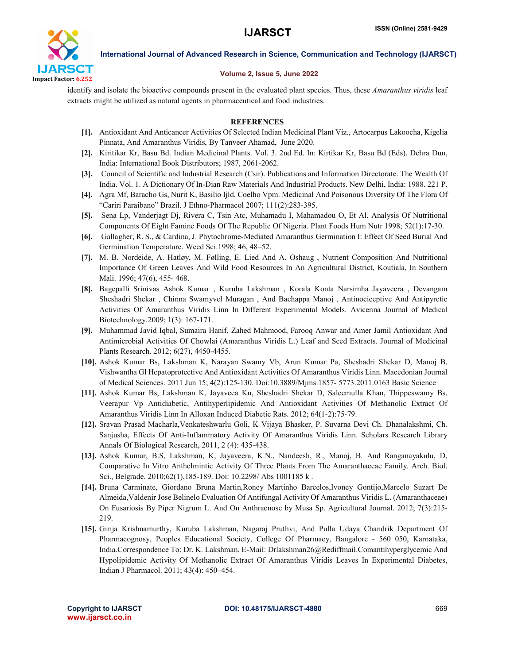

### Volume 2, Issue 5, June 2022

identify and isolate the bioactive compounds present in the evaluated plant species. Thus, these *Amaranthus viridis* leaf extracts might be utilized as natural agents in pharmaceutical and food industries.

# **REFERENCES**

- [1]. Antioxidant And Anticancer Activities Of Selected Indian Medicinal Plant Viz., Artocarpus Lakoocha, Kigelia Pinnata, And Amaranthus Viridis, By Tanveer Ahamad, June 2020.
- [2]. Kiritikar Kr, Basu Bd. Indian Medicinal Plants. Vol. 3. 2nd Ed. In: Kirtikar Kr, Basu Bd (Eds). Dehra Dun, India: International Book Distributors; 1987, 2061-2062.
- [3]. Council of Scientific and Industrial Research (Csir). Publications and Information Directorate. The Wealth Of India. Vol. 1. A Dictionary Of In-Dian Raw Materials And Industrial Products. New Delhi, India: 1988. 221 P.
- [4]. Agra Mf, Baracho Gs, Nurit K, Basilio Ijld, Coelho Vpm. Medicinal And Poisonous Diversity Of The Flora Of "Cariri Paraibano" Brazil. J Ethno-Pharmacol 2007; 111(2):283-395.
- [5]. Sena Lp, Vanderjagt Dj, Rivera C, Tsin Atc, Muhamadu I, Mahamadou O, Et Al. Analysis Of Nutritional Components Of Eight Famine Foods Of The Republic Of Nigeria. Plant Foods Hum Nutr 1998; 52(1):17-30.
- [6]. Gallagher, R. S., & Cardina, J. Phytochrome-Mediated Amaranthus Germination I: Effect Of Seed Burial And Germination Temperature. Weed Sci.1998; 46, 48–52.
- [7]. M. B. Nordeide, A. Hatløy, M. Følling, E. Lied And A. Oshaug , Nutrient Composition And Nutritional Importance Of Green Leaves And Wild Food Resources In An Agricultural District, Koutiala, In Southern Mali. 1996; 47(6), 455- 468.
- [8]. Bagepalli Srinivas Ashok Kumar , Kuruba Lakshman , Korala Konta Narsimha Jayaveera , Devangam Sheshadri Shekar , Chinna Swamyvel Muragan , And Bachappa Manoj , Antinociceptive And Antipyretic Activities Of Amaranthus Viridis Linn In Different Experimental Models. Avicenna Journal of Medical Biotechnology.2009; 1(3): 167-171.
- [9]. Muhammad Javid Iqbal, Sumaira Hanif, Zahed Mahmood, Farooq Anwar and Amer Jamil Antioxidant And Antimicrobial Activities Of Chowlai (Amaranthus Viridis L.) Leaf and Seed Extracts. Journal of Medicinal Plants Research. 2012; 6(27), 4450-4455.
- [10]. Ashok Kumar Bs, Lakshman K, Narayan Swamy Vb, Arun Kumar Pa, Sheshadri Shekar D, Manoj B, Vishwantha Gl Hepatoprotective And Antioxidant Activities Of Amaranthus Viridis Linn. Macedonian Journal of Medical Sciences. 2011 Jun 15; 4(2):125-130. Doi:10.3889/Mjms.1857- 5773.2011.0163 Basic Science
- [11]. Ashok Kumar Bs, Lakshman K, Jayaveea Kn, Sheshadri Shekar D, Saleemulla Khan, Thippeswamy Bs, Veerapur Vp Antidiabetic, Antihyperlipidemic And Antioxidant Activities Of Methanolic Extract Of Amaranthus Viridis Linn In Alloxan Induced Diabetic Rats. 2012; 64(1-2):75-79.
- [12]. Sravan Prasad Macharla,Venkateshwarlu Goli, K Vijaya Bhasker, P. Suvarna Devi Ch. Dhanalakshmi, Ch. Sanjusha, Effects Of Anti-Inflammatory Activity Of Amaranthus Viridis Linn. Scholars Research Library Annals Of Biological Research, 2011, 2 (4): 435-438.
- [13]. Ashok Kumar, B.S, Lakshman, K, Jayaveera, K.N., Nandeesh, R., Manoj, B. And Ranganayakulu, D, Comparative In Vitro Anthelmintic Activity Of Three Plants From The Amaranthaceae Family. Arch. Biol. Sci., Belgrade. 2010;62(1),185-189. Doi: 10.2298/ Abs 1001185 k .
- [14]. Bruna Carminate, Giordano Bruna Martin,Roney Martinho Barcelos,Ivoney Gontijo,Marcelo Suzart De Almeida,Valdenir Jose Belinelo Evaluation Of Antifungal Activity Of Amaranthus Viridis L. (Amaranthaceae) On Fusariosis By Piper Nigrum L. And On Anthracnose by Musa Sp. Agricultural Journal. 2012; 7(3):215- 219.
- [15]. Girija Krishnamurthy, Kuruba Lakshman, Nagaraj Pruthvi, And Pulla Udaya Chandrik Department Of Pharmacognosy, Peoples Educational Society, College Of Pharmacy, Bangalore - 560 050, Karnataka, India.Correspondence To: Dr. K. Lakshman, E-Mail: Drlakshman26@Rediffmail.Comantihyperglycemic And Hypolipidemic Activity Of Methanolic Extract Of Amaranthus Viridis Leaves In Experimental Diabetes, Indian J Pharmacol. 2011; 43(4): 450–454.